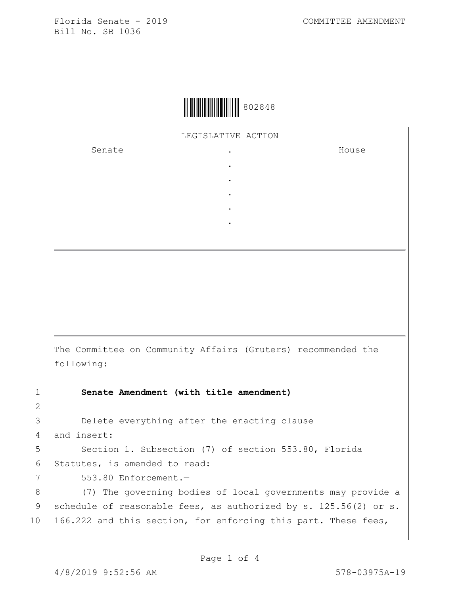

LEGISLATIVE ACTION

. . . . .

Senate .

House

The Committee on Community Affairs (Gruters) recommended the following:

1 **Senate Amendment (with title amendment)**

3 **Delete everything after the enacting clause** 4 and insert:

5 | Section 1. Subsection (7) of section 553.80, Florida 6 Statutes, is amended to read:

7 553.80 Enforcement.—

8 (7) The governing bodies of local governments may provide a 9 schedule of reasonable fees, as authorized by s. 125.56(2) or s. 10 166.222 and this section, for enforcing this part. These fees,

2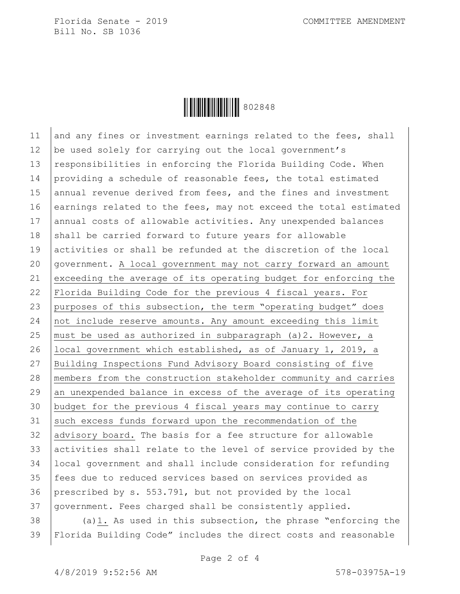

11 and any fines or investment earnings related to the fees, shall 12 be used solely for carrying out the local government's 13 | responsibilities in enforcing the Florida Building Code. When 14 providing a schedule of reasonable fees, the total estimated 15 annual revenue derived from fees, and the fines and investment 16 earnings related to the fees, may not exceed the total estimated 17 annual costs of allowable activities. Any unexpended balances 18 shall be carried forward to future years for allowable 19 activities or shall be refunded at the discretion of the local 20 government. A local government may not carry forward an amount 21 exceeding the average of its operating budget for enforcing the 22 Florida Building Code for the previous 4 fiscal years. For 23 purposes of this subsection, the term "operating budget" does 24 not include reserve amounts. Any amount exceeding this limit 25 | must be used as authorized in subparagraph  $(a)$ 2. However, a 26 | local government which established, as of January 1, 2019, a 27 Building Inspections Fund Advisory Board consisting of five 28 members from the construction stakeholder community and carries 29 an unexpended balance in excess of the average of its operating 30 budget for the previous 4 fiscal years may continue to carry 31 such excess funds forward upon the recommendation of the 32 advisory board. The basis for a fee structure for allowable 33 activities shall relate to the level of service provided by the 34 local government and shall include consideration for refunding 35 fees due to reduced services based on services provided as 36 prescribed by s. 553.791, but not provided by the local 37 government. Fees charged shall be consistently applied.

 $38$  (a)1. As used in this subsection, the phrase "enforcing the 39 Florida Building Code" includes the direct costs and reasonable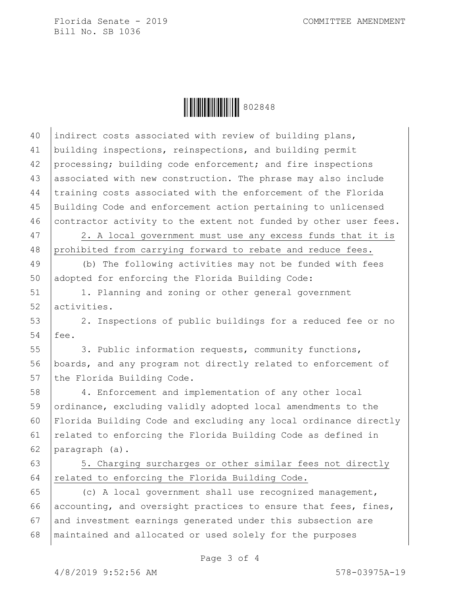

40 indirect costs associated with review of building plans, 41 building inspections, reinspections, and building permit 42 processing; building code enforcement; and fire inspections 43 associated with new construction. The phrase may also include 44 training costs associated with the enforcement of the Florida 45 Building Code and enforcement action pertaining to unlicensed 46 contractor activity to the extent not funded by other user fees. 47 | 2. A local government must use any excess funds that it is 48 prohibited from carrying forward to rebate and reduce fees. 49 (b) The following activities may not be funded with fees 50 adopted for enforcing the Florida Building Code: 51 | 1. Planning and zoning or other general government 52 activities. 53 2. Inspections of public buildings for a reduced fee or no 54 fee. 55 3. Public information requests, community functions, 56 boards, and any program not directly related to enforcement of 57 the Florida Building Code. 58 4. Enforcement and implementation of any other local 59 ordinance, excluding validly adopted local amendments to the 60 Florida Building Code and excluding any local ordinance directly 61 | related to enforcing the Florida Building Code as defined in 62 paragraph (a). 63 | 5. Charging surcharges or other similar fees not directly 64 related to enforcing the Florida Building Code. 65 (c) A local government shall use recognized management, 66 accounting, and oversight practices to ensure that fees, fines, 67 and investment earnings generated under this subsection are 68 maintained and allocated or used solely for the purposes